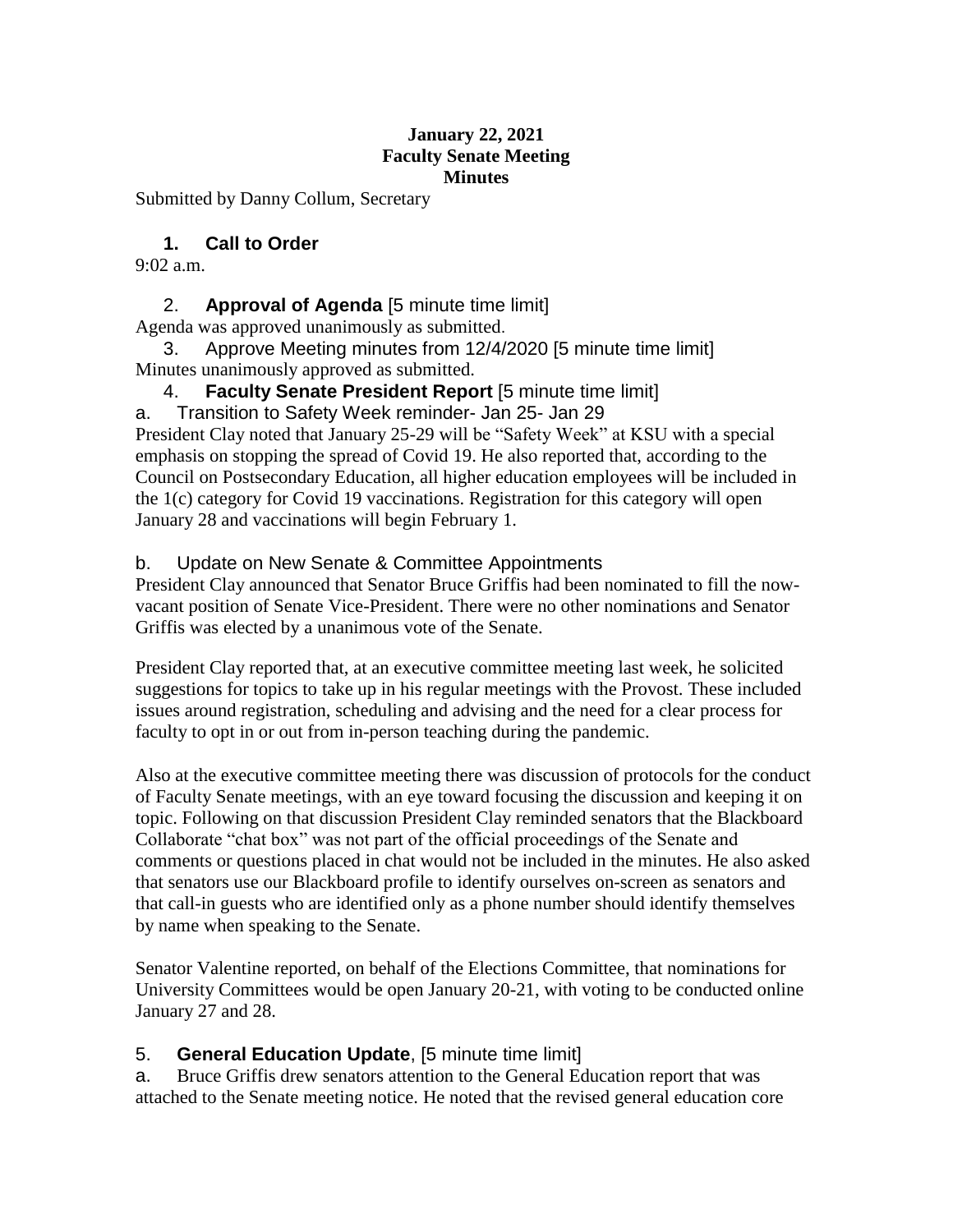#### **January 22, 2021 Faculty Senate Meeting Minutes**

Submitted by Danny Collum, Secretary

## **1. Call to Order**

9:02 a.m.

## 2. **Approval of Agenda** [5 minute time limit]

Agenda was approved unanimously as submitted.

January 28 and vaccinations will begin February 1.

3. Approve Meeting minutes from 12/4/2020 [5 minute time limit] Minutes unanimously approved as submitted.

## 4. **Faculty Senate President Report** [5 minute time limit]

a. Transition to Safety Week reminder- Jan 25- Jan 29 President Clay noted that January 25-29 will be "Safety Week" at KSU with a special emphasis on stopping the spread of Covid 19. He also reported that, according to the Council on Postsecondary Education, all higher education employees will be included in the 1(c) category for Covid 19 vaccinations. Registration for this category will open

# b. Update on New Senate & Committee Appointments

President Clay announced that Senator Bruce Griffis had been nominated to fill the nowvacant position of Senate Vice-President. There were no other nominations and Senator Griffis was elected by a unanimous vote of the Senate.

President Clay reported that, at an executive committee meeting last week, he solicited suggestions for topics to take up in his regular meetings with the Provost. These included issues around registration, scheduling and advising and the need for a clear process for faculty to opt in or out from in-person teaching during the pandemic.

Also at the executive committee meeting there was discussion of protocols for the conduct of Faculty Senate meetings, with an eye toward focusing the discussion and keeping it on topic. Following on that discussion President Clay reminded senators that the Blackboard Collaborate "chat box" was not part of the official proceedings of the Senate and comments or questions placed in chat would not be included in the minutes. He also asked that senators use our Blackboard profile to identify ourselves on-screen as senators and that call-in guests who are identified only as a phone number should identify themselves by name when speaking to the Senate.

Senator Valentine reported, on behalf of the Elections Committee, that nominations for University Committees would be open January 20-21, with voting to be conducted online January 27 and 28.

#### 5. **General Education Update**, [5 minute time limit]

a. Bruce Griffis drew senators attention to the General Education report that was attached to the Senate meeting notice. He noted that the revised general education core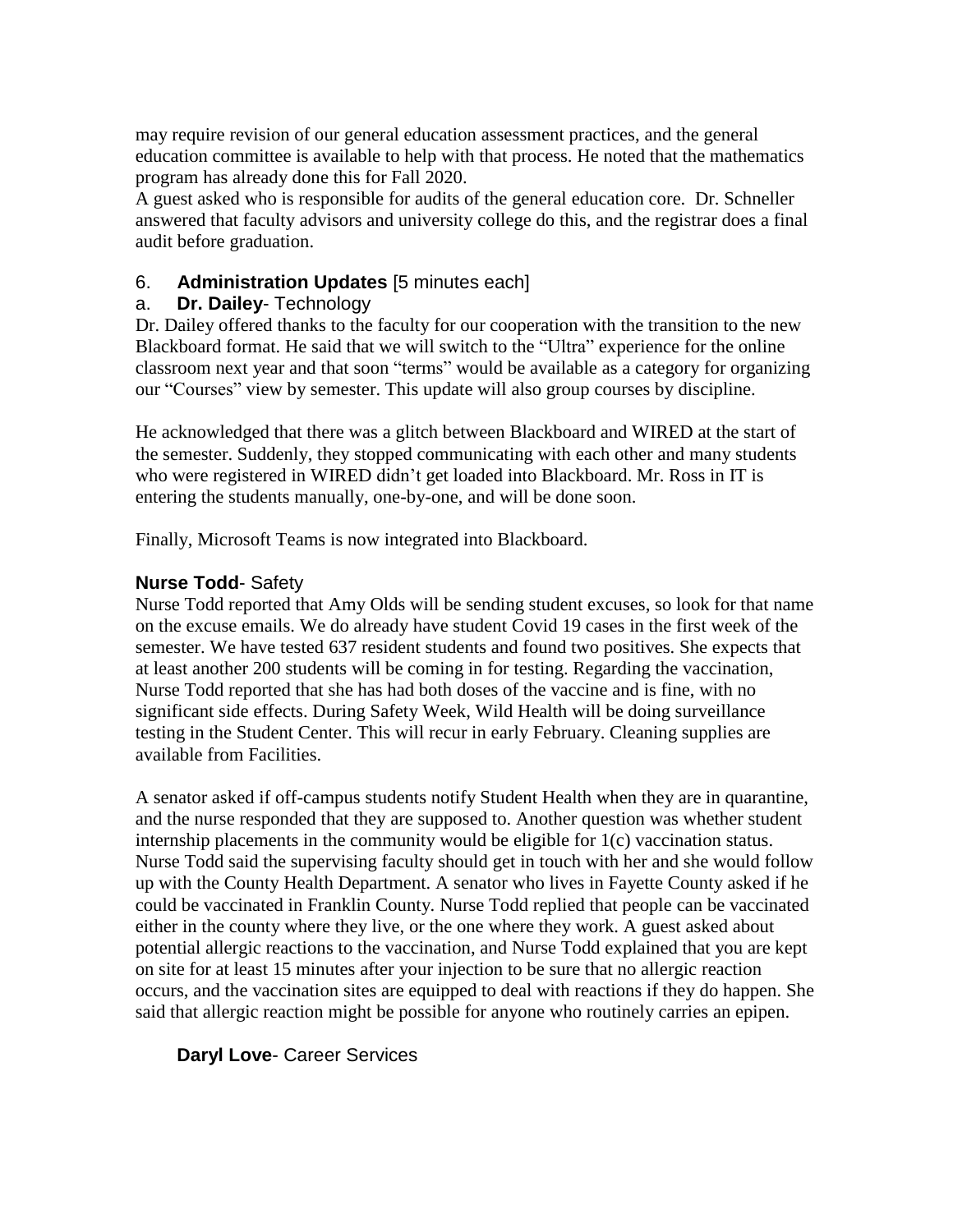may require revision of our general education assessment practices, and the general education committee is available to help with that process. He noted that the mathematics program has already done this for Fall 2020.

A guest asked who is responsible for audits of the general education core. Dr. Schneller answered that faculty advisors and university college do this, and the registrar does a final audit before graduation.

## 6. **Administration Updates** [5 minutes each]

### a. **Dr. Dailey**- Technology

Dr. Dailey offered thanks to the faculty for our cooperation with the transition to the new Blackboard format. He said that we will switch to the "Ultra" experience for the online classroom next year and that soon "terms" would be available as a category for organizing our "Courses" view by semester. This update will also group courses by discipline.

He acknowledged that there was a glitch between Blackboard and WIRED at the start of the semester. Suddenly, they stopped communicating with each other and many students who were registered in WIRED didn't get loaded into Blackboard. Mr. Ross in IT is entering the students manually, one-by-one, and will be done soon.

Finally, Microsoft Teams is now integrated into Blackboard.

## **Nurse Todd**- Safety

Nurse Todd reported that Amy Olds will be sending student excuses, so look for that name on the excuse emails. We do already have student Covid 19 cases in the first week of the semester. We have tested 637 resident students and found two positives. She expects that at least another 200 students will be coming in for testing. Regarding the vaccination, Nurse Todd reported that she has had both doses of the vaccine and is fine, with no significant side effects. During Safety Week, Wild Health will be doing surveillance testing in the Student Center. This will recur in early February. Cleaning supplies are available from Facilities.

A senator asked if off-campus students notify Student Health when they are in quarantine, and the nurse responded that they are supposed to. Another question was whether student internship placements in the community would be eligible for 1(c) vaccination status. Nurse Todd said the supervising faculty should get in touch with her and she would follow up with the County Health Department. A senator who lives in Fayette County asked if he could be vaccinated in Franklin County. Nurse Todd replied that people can be vaccinated either in the county where they live, or the one where they work. A guest asked about potential allergic reactions to the vaccination, and Nurse Todd explained that you are kept on site for at least 15 minutes after your injection to be sure that no allergic reaction occurs, and the vaccination sites are equipped to deal with reactions if they do happen. She said that allergic reaction might be possible for anyone who routinely carries an epipen.

## **Daryl Love**- Career Services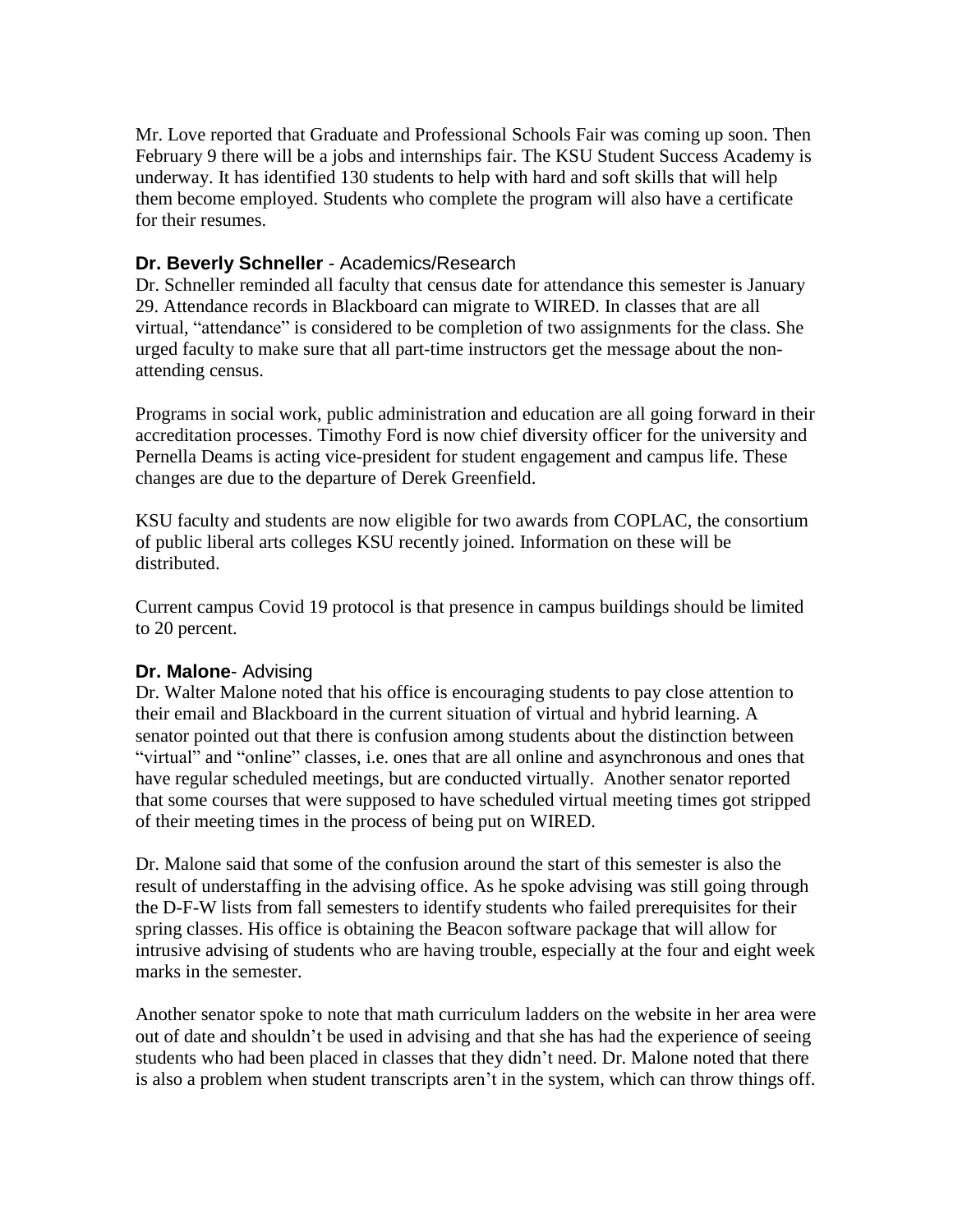Mr. Love reported that Graduate and Professional Schools Fair was coming up soon. Then February 9 there will be a jobs and internships fair. The KSU Student Success Academy is underway. It has identified 130 students to help with hard and soft skills that will help them become employed. Students who complete the program will also have a certificate for their resumes.

### **Dr. Beverly Schneller** - Academics/Research

Dr. Schneller reminded all faculty that census date for attendance this semester is January 29. Attendance records in Blackboard can migrate to WIRED. In classes that are all virtual, "attendance" is considered to be completion of two assignments for the class. She urged faculty to make sure that all part-time instructors get the message about the nonattending census.

Programs in social work, public administration and education are all going forward in their accreditation processes. Timothy Ford is now chief diversity officer for the university and Pernella Deams is acting vice-president for student engagement and campus life. These changes are due to the departure of Derek Greenfield.

KSU faculty and students are now eligible for two awards from COPLAC, the consortium of public liberal arts colleges KSU recently joined. Information on these will be distributed.

Current campus Covid 19 protocol is that presence in campus buildings should be limited to 20 percent.

#### **Dr. Malone**- Advising

Dr. Walter Malone noted that his office is encouraging students to pay close attention to their email and Blackboard in the current situation of virtual and hybrid learning. A senator pointed out that there is confusion among students about the distinction between "virtual" and "online" classes, i.e. ones that are all online and asynchronous and ones that have regular scheduled meetings, but are conducted virtually. Another senator reported that some courses that were supposed to have scheduled virtual meeting times got stripped of their meeting times in the process of being put on WIRED.

Dr. Malone said that some of the confusion around the start of this semester is also the result of understaffing in the advising office. As he spoke advising was still going through the D-F-W lists from fall semesters to identify students who failed prerequisites for their spring classes. His office is obtaining the Beacon software package that will allow for intrusive advising of students who are having trouble, especially at the four and eight week marks in the semester.

Another senator spoke to note that math curriculum ladders on the website in her area were out of date and shouldn't be used in advising and that she has had the experience of seeing students who had been placed in classes that they didn't need. Dr. Malone noted that there is also a problem when student transcripts aren't in the system, which can throw things off.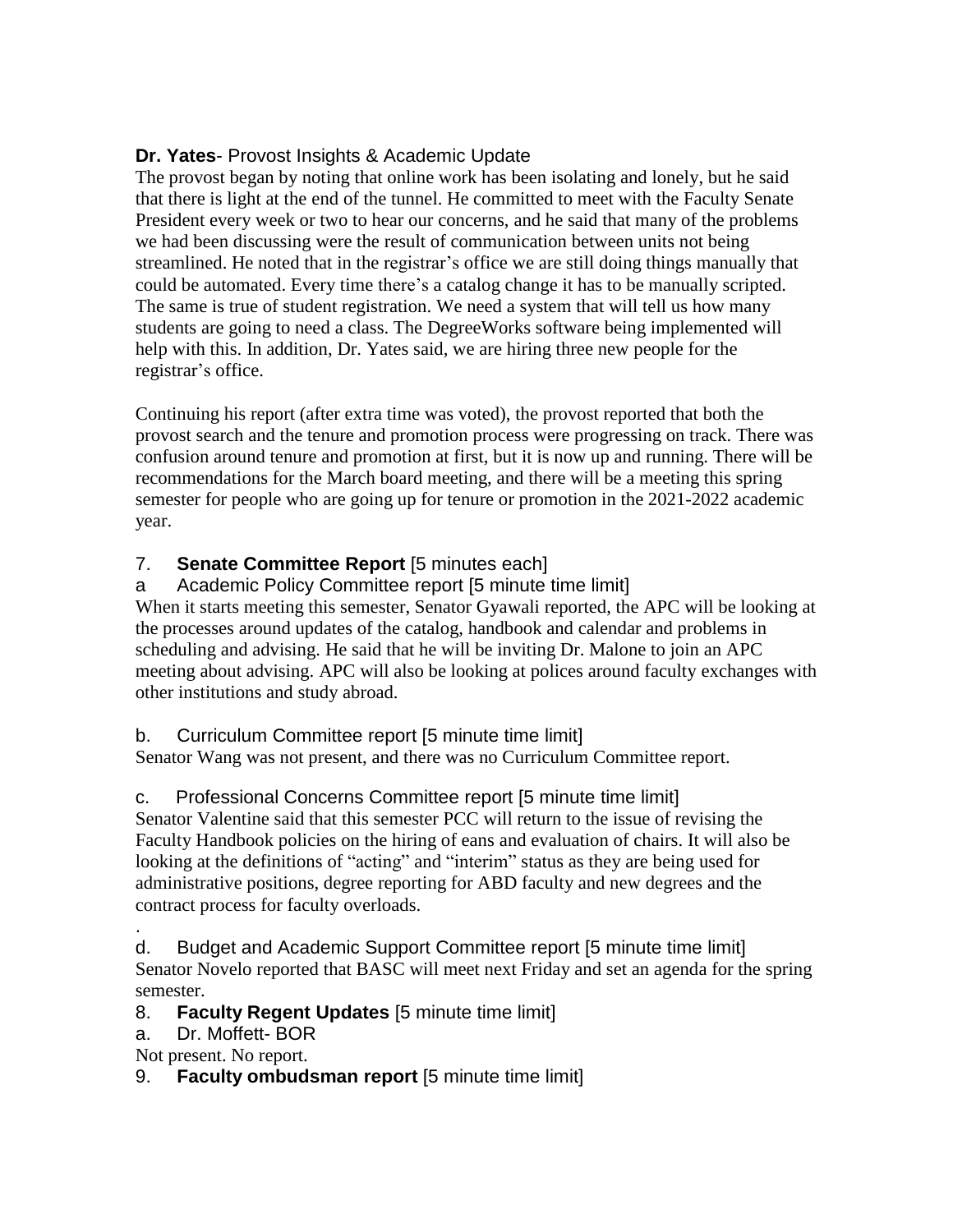## **Dr. Yates**- Provost Insights & Academic Update

The provost began by noting that online work has been isolating and lonely, but he said that there is light at the end of the tunnel. He committed to meet with the Faculty Senate President every week or two to hear our concerns, and he said that many of the problems we had been discussing were the result of communication between units not being streamlined. He noted that in the registrar's office we are still doing things manually that could be automated. Every time there's a catalog change it has to be manually scripted. The same is true of student registration. We need a system that will tell us how many students are going to need a class. The DegreeWorks software being implemented will help with this. In addition, Dr. Yates said, we are hiring three new people for the registrar's office.

Continuing his report (after extra time was voted), the provost reported that both the provost search and the tenure and promotion process were progressing on track. There was confusion around tenure and promotion at first, but it is now up and running. There will be recommendations for the March board meeting, and there will be a meeting this spring semester for people who are going up for tenure or promotion in the 2021-2022 academic year.

## 7. **Senate Committee Report** [5 minutes each]

a Academic Policy Committee report [5 minute time limit]

When it starts meeting this semester, Senator Gyawali reported, the APC will be looking at the processes around updates of the catalog, handbook and calendar and problems in scheduling and advising. He said that he will be inviting Dr. Malone to join an APC meeting about advising. APC will also be looking at polices around faculty exchanges with other institutions and study abroad.

b. Curriculum Committee report [5 minute time limit]

Senator Wang was not present, and there was no Curriculum Committee report.

## c. Professional Concerns Committee report [5 minute time limit]

Senator Valentine said that this semester PCC will return to the issue of revising the Faculty Handbook policies on the hiring of eans and evaluation of chairs. It will also be looking at the definitions of "acting" and "interim" status as they are being used for administrative positions, degree reporting for ABD faculty and new degrees and the contract process for faculty overloads.

. d. Budget and Academic Support Committee report [5 minute time limit] Senator Novelo reported that BASC will meet next Friday and set an agenda for the spring semester.

8. **Faculty Regent Updates** [5 minute time limit]

a. Dr. Moffett- BOR

Not present. No report.

9. **Faculty ombudsman report** [5 minute time limit]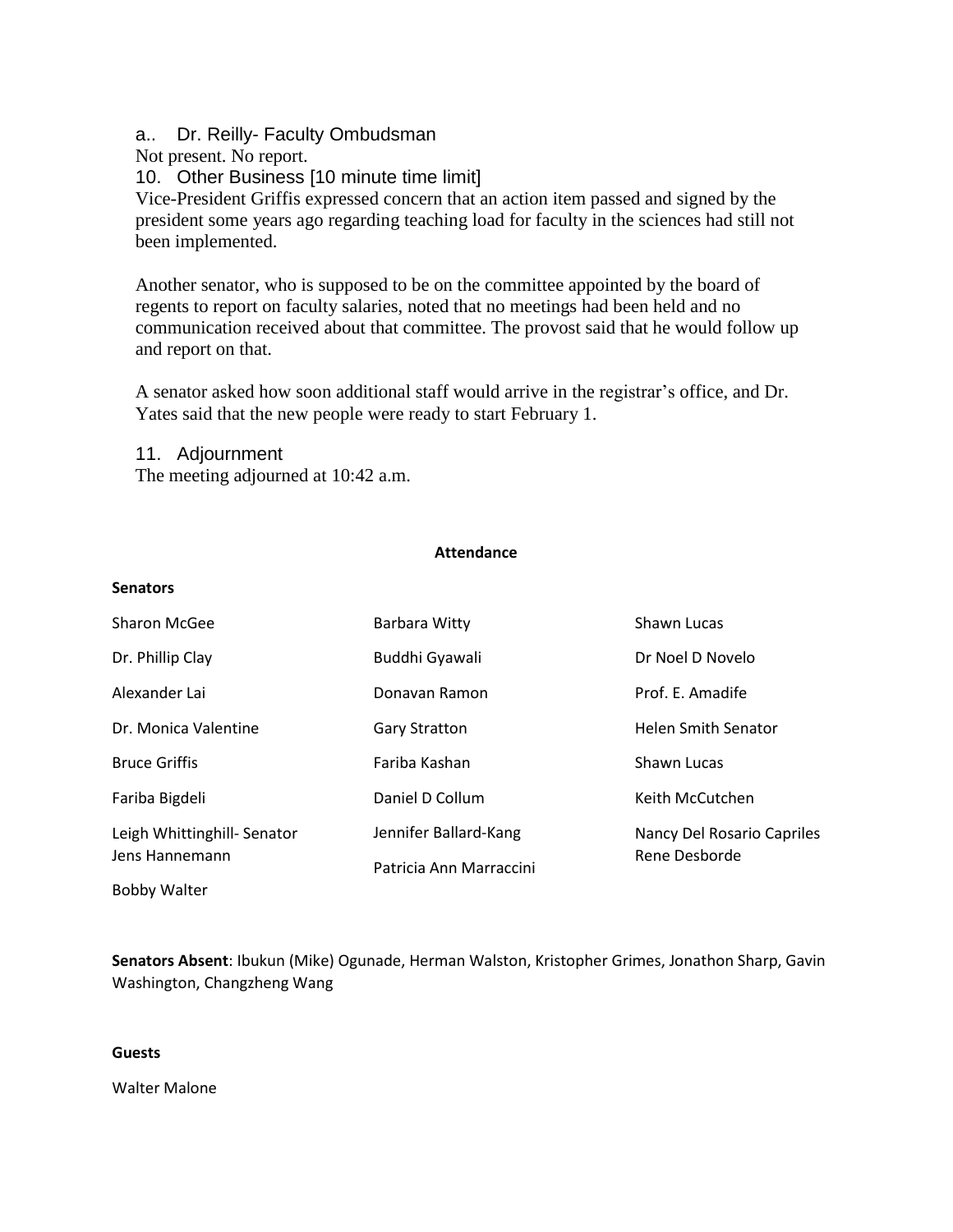a.. Dr. Reilly- Faculty Ombudsman

Not present. No report.

10. Other Business [10 minute time limit]

Vice-President Griffis expressed concern that an action item passed and signed by the president some years ago regarding teaching load for faculty in the sciences had still not been implemented.

Another senator, who is supposed to be on the committee appointed by the board of regents to report on faculty salaries, noted that no meetings had been held and no communication received about that committee. The provost said that he would follow up and report on that.

A senator asked how soon additional staff would arrive in the registrar's office, and Dr. Yates said that the new people were ready to start February 1.

11. Adjournment The meeting adjourned at 10:42 a.m.

#### **Attendance**

#### **Senators**

| Sharon McGee                                 | Barbara Witty           | Shawn Lucas                                 |
|----------------------------------------------|-------------------------|---------------------------------------------|
| Dr. Phillip Clay                             | Buddhi Gyawali          | Dr Noel D Novelo                            |
| Alexander Lai                                | Donavan Ramon           | Prof. E. Amadife                            |
| Dr. Monica Valentine                         | <b>Gary Stratton</b>    | <b>Helen Smith Senator</b>                  |
| <b>Bruce Griffis</b>                         | Fariba Kashan           | Shawn Lucas                                 |
| Fariba Bigdeli                               | Daniel D Collum         | Keith McCutchen                             |
| Leigh Whittinghill-Senator<br>Jens Hannemann | Jennifer Ballard-Kang   | Nancy Del Rosario Capriles<br>Rene Desborde |
|                                              | Patricia Ann Marraccini |                                             |
| <b>Bobby Walter</b>                          |                         |                                             |

**Senators Absent**: Ibukun (Mike) Ogunade, Herman Walston, Kristopher Grimes, Jonathon Sharp, Gavin Washington, Changzheng Wang

#### **Guests**

Walter Malone